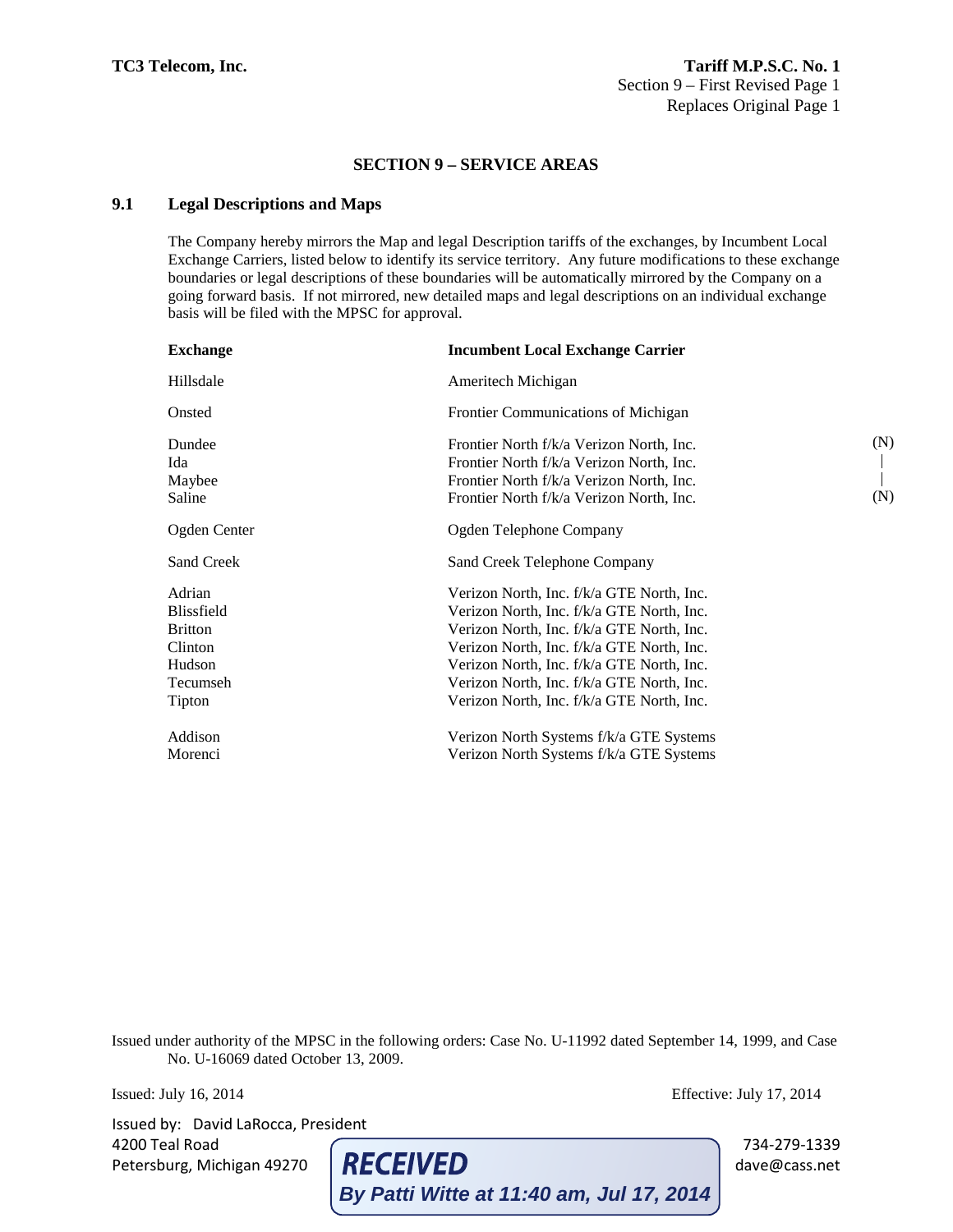## **9.1 Legal Descriptions and Maps**

The Company hereby mirrors the Map and legal Description tariffs of the exchanges, by Incumbent Local Exchange Carriers, listed below to identify its service territory. Any future modifications to these exchange boundaries or legal descriptions of these boundaries will be automatically mirrored by the Company on a going forward basis. If not mirrored, new detailed maps and legal descriptions on an individual exchange basis will be filed with the MPSC for approval.

| <b>Exchange</b>                                                                          | <b>Incumbent Local Exchange Carrier</b>                                                                                                                                                                                                                                                                                 |            |
|------------------------------------------------------------------------------------------|-------------------------------------------------------------------------------------------------------------------------------------------------------------------------------------------------------------------------------------------------------------------------------------------------------------------------|------------|
| Hillsdale                                                                                | Ameritech Michigan                                                                                                                                                                                                                                                                                                      |            |
| Onsted                                                                                   | Frontier Communications of Michigan                                                                                                                                                                                                                                                                                     |            |
| Dundee<br>Ida<br>Maybee<br>Saline                                                        | Frontier North f/k/a Verizon North, Inc.<br>Frontier North f/k/a Verizon North, Inc.<br>Frontier North f/k/a Verizon North, Inc.<br>Frontier North f/k/a Verizon North, Inc.                                                                                                                                            | (N)<br>(N) |
| Ogden Center                                                                             | Ogden Telephone Company                                                                                                                                                                                                                                                                                                 |            |
| <b>Sand Creek</b>                                                                        | Sand Creek Telephone Company                                                                                                                                                                                                                                                                                            |            |
| Adrian<br><b>Blissfield</b><br><b>Britton</b><br>Clinton<br>Hudson<br>Tecumseh<br>Tipton | Verizon North, Inc. f/k/a GTE North, Inc.<br>Verizon North, Inc. f/k/a GTE North, Inc.<br>Verizon North, Inc. f/k/a GTE North, Inc.<br>Verizon North, Inc. f/k/a GTE North, Inc.<br>Verizon North, Inc. f/k/a GTE North, Inc.<br>Verizon North, Inc. f/k/a GTE North, Inc.<br>Verizon North, Inc. f/k/a GTE North, Inc. |            |
| Addison<br>Morenci                                                                       | Verizon North Systems f/k/a GTE Systems<br>Verizon North Systems f/k/a GTE Systems                                                                                                                                                                                                                                      |            |

Issued under authority of the MPSC in the following orders: Case No. U-11992 dated September 14, 1999, and Case No. U-16069 dated October 13, 2009.

Issued: July 16, 2014 Effective: July 17, 2014

Issued by: David LaRocca, President

4200 Teal Road 734-279-1339<br>
Petersburg, Michigan 49270 **RECEIVED** 734-279-1339 dave@cass.net Petersburg, Michigan 49270 **RECEIVED** dave@cass.net **By Patti Witte at 11:40 am, Jul 17, 2014**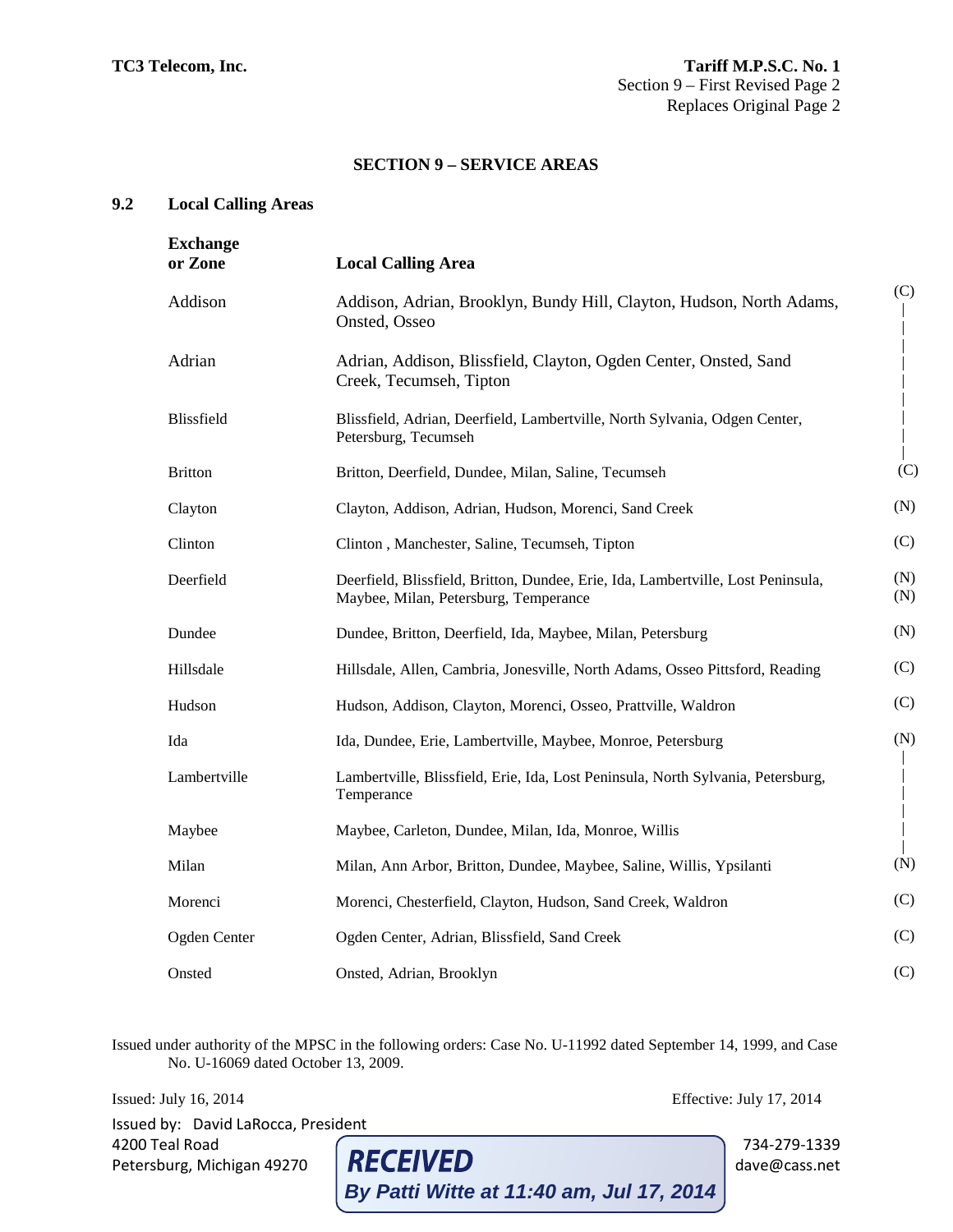## **9.2 Local Calling Areas**

| <b>Exchange</b><br>or Zone | <b>Local Calling Area</b>                                                                                                 |            |
|----------------------------|---------------------------------------------------------------------------------------------------------------------------|------------|
| Addison                    | Addison, Adrian, Brooklyn, Bundy Hill, Clayton, Hudson, North Adams,<br>Onsted, Osseo                                     | (C)        |
| Adrian                     | Adrian, Addison, Blissfield, Clayton, Ogden Center, Onsted, Sand<br>Creek, Tecumseh, Tipton                               |            |
| Blissfield                 | Blissfield, Adrian, Deerfield, Lambertville, North Sylvania, Odgen Center,<br>Petersburg, Tecumseh                        |            |
| <b>Britton</b>             | Britton, Deerfield, Dundee, Milan, Saline, Tecumseh                                                                       | (C)        |
| Clayton                    | Clayton, Addison, Adrian, Hudson, Morenci, Sand Creek                                                                     | (N)        |
| Clinton                    | Clinton, Manchester, Saline, Tecumseh, Tipton                                                                             | (C)        |
| Deerfield                  | Deerfield, Blissfield, Britton, Dundee, Erie, Ida, Lambertville, Lost Peninsula,<br>Maybee, Milan, Petersburg, Temperance | (N)<br>(N) |
| Dundee                     | Dundee, Britton, Deerfield, Ida, Maybee, Milan, Petersburg                                                                | (N)        |
| Hillsdale                  | Hillsdale, Allen, Cambria, Jonesville, North Adams, Osseo Pittsford, Reading                                              | (C)        |
| Hudson                     | Hudson, Addison, Clayton, Morenci, Osseo, Prattville, Waldron                                                             | (C)        |
| Ida                        | Ida, Dundee, Erie, Lambertville, Maybee, Monroe, Petersburg                                                               | (N)        |
| Lambertville               | Lambertville, Blissfield, Erie, Ida, Lost Peninsula, North Sylvania, Petersburg,<br>Temperance                            |            |
| Maybee                     | Maybee, Carleton, Dundee, Milan, Ida, Monroe, Willis                                                                      |            |
| Milan                      | Milan, Ann Arbor, Britton, Dundee, Maybee, Saline, Willis, Ypsilanti                                                      | (N)        |
| Morenci                    | Morenci, Chesterfield, Clayton, Hudson, Sand Creek, Waldron                                                               | (C)        |
| Ogden Center               | Ogden Center, Adrian, Blissfield, Sand Creek                                                                              | (C)        |
| Onsted                     | Onsted, Adrian, Brooklyn                                                                                                  | (C)        |

Issued under authority of the MPSC in the following orders: Case No. U-11992 dated September 14, 1999, and Case No. U-16069 dated October 13, 2009.

Issued: July 16, 2014 Effective: July 17, 2014 Issued by: David LaRocca, President 4200 Teal Road 734-279-1339<br>
Petersburg, Michigan 49270 **RECEIVED** dave@cass.net Petersburg, Michigan 49270 **RECEIVED** dave@cass.net **By Patti Witte at 11:40 am, Jul 17, 2014**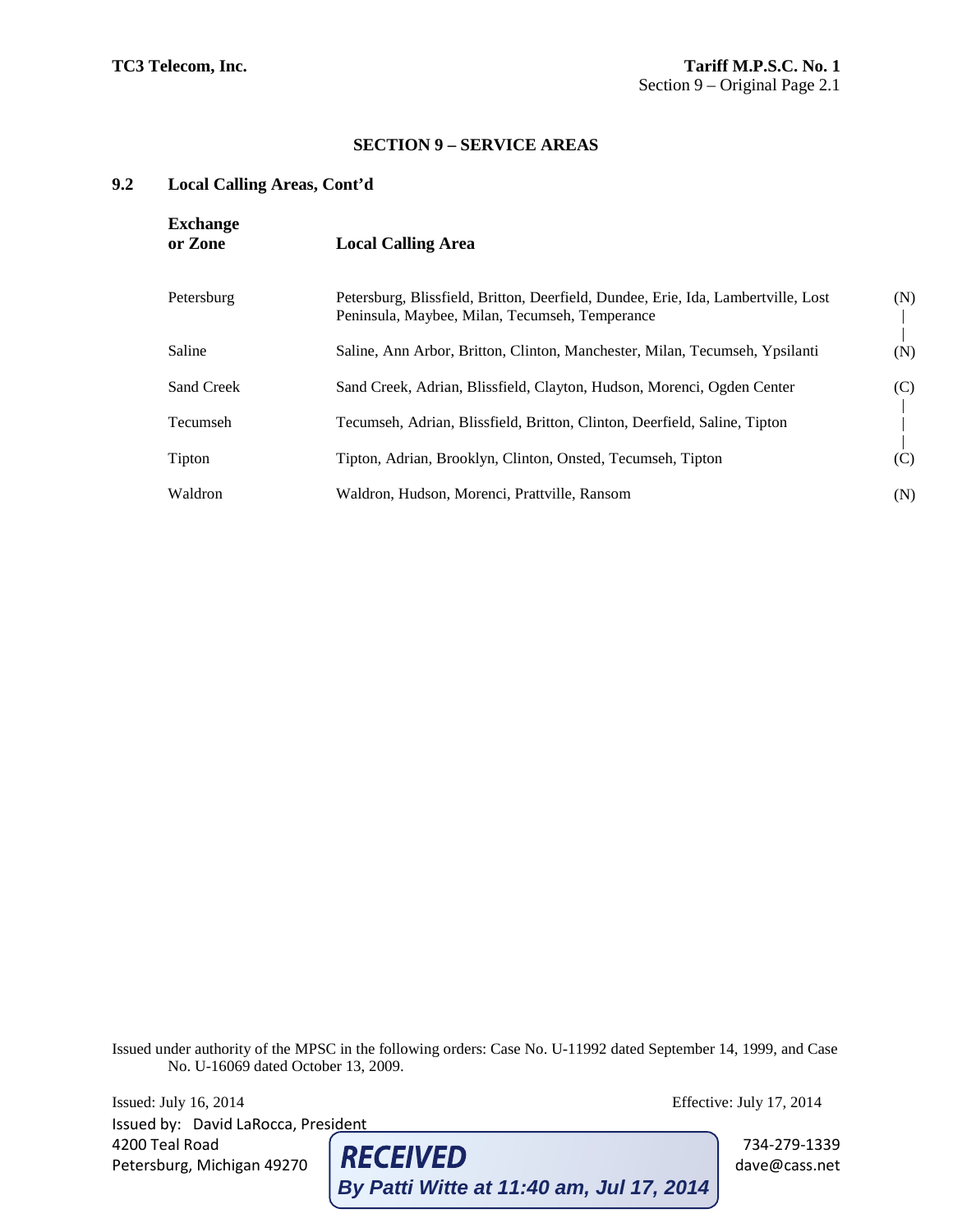# **9.2 Local Calling Areas, Cont'd**

| <b>Exchange</b><br>or Zone | <b>Local Calling Area</b>                                                                                                           |     |
|----------------------------|-------------------------------------------------------------------------------------------------------------------------------------|-----|
| Petersburg                 | Petersburg, Blissfield, Britton, Deerfield, Dundee, Erie, Ida, Lambertville, Lost<br>Peninsula, Maybee, Milan, Tecumseh, Temperance | (N) |
| Saline                     | Saline, Ann Arbor, Britton, Clinton, Manchester, Milan, Tecumseh, Ypsilanti                                                         | (N) |
| Sand Creek                 | Sand Creek, Adrian, Blissfield, Clayton, Hudson, Morenci, Ogden Center                                                              | (C) |
| Tecumseh                   | Tecumseh, Adrian, Blissfield, Britton, Clinton, Deerfield, Saline, Tipton                                                           |     |
| Tipton                     | Tipton, Adrian, Brooklyn, Clinton, Onsted, Tecumseh, Tipton                                                                         | (C) |
| Waldron                    | Waldron, Hudson, Morenci, Prattville, Ransom                                                                                        | (N) |

Issued under authority of the MPSC in the following orders: Case No. U-11992 dated September 14, 1999, and Case No. U-16069 dated October 13, 2009.

Issued: July 16, 2014 Effective: July 17, 2014 Issued by: David LaRocca, President 4200 Teal Road  $\left[\text{RecEIVED}\right]$  734-279-1339 days  $\left[\text{RecEIVED}\right]$  734-279-1339 days  $\left[\text{Recas set}\right]$ Petersburg, Michigan 49270 **KELEIVED** etersburg, Michigan 49270 dave eterstissung **By Patti Witte at 11:40 am, Jul 17, 2014**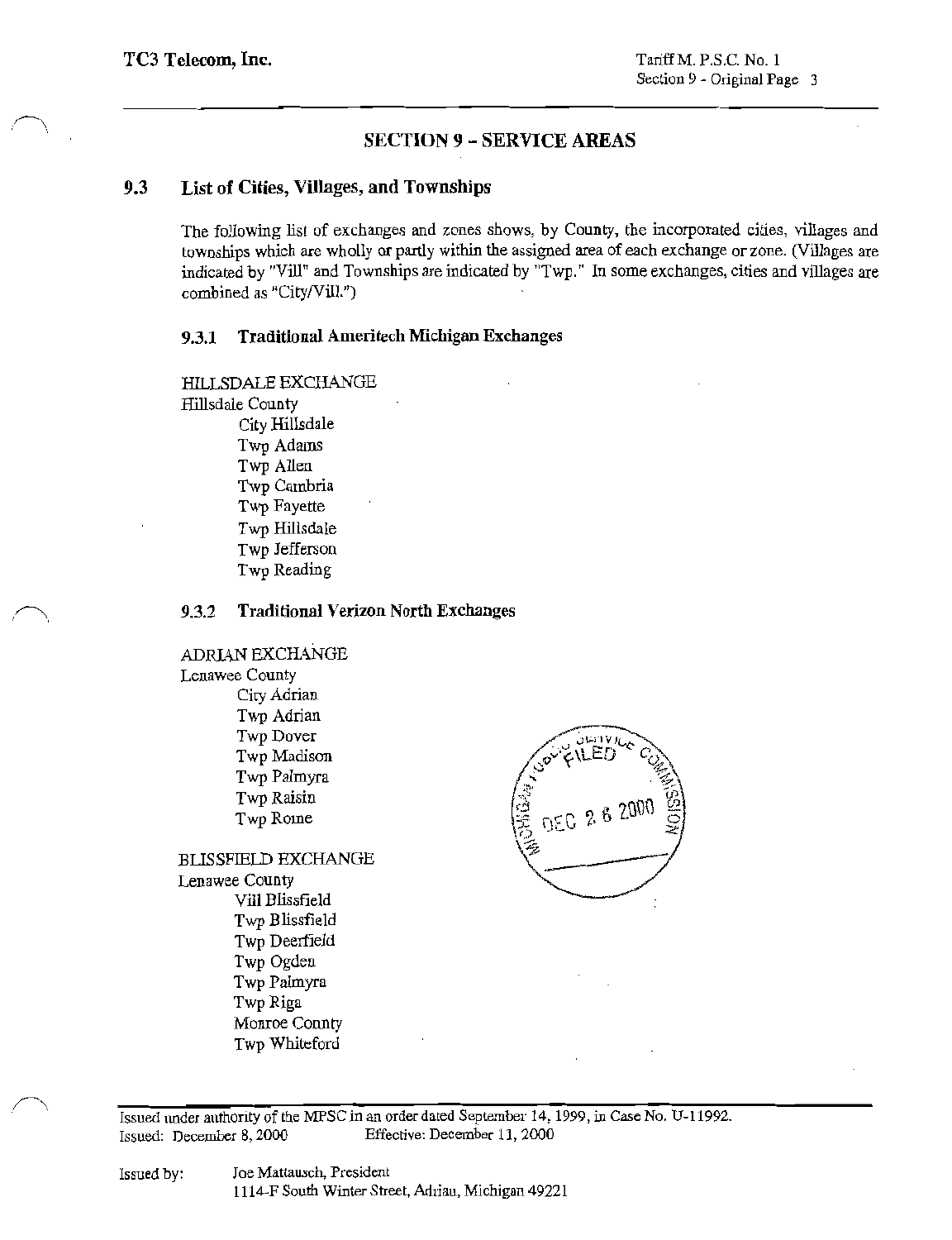#### $9.3$ List of Cities, Villages, and Townships

The following list of exchanges and zones shows, by County, the incorporated cities, villages and townships which are wholly or partly within the assigned area of each exchange or zone. (Villages are indicated by "Vill" and Townships are indicated by "Twp." In some exchanges, cities and villages are combined as "City/Vill.")

#### 9.3.1 **Traditional Ameritech Michigan Exchanges**

HILLSDALE EXCHANGE Hillsdale County City Hillsdale Twp Adams Twp Allen Twp Cambria Twp Fayette Twp Hillsdale Twp Jefferson

Twp Reading

#### **Traditional Verizon North Exchanges** 9.3.2

ADRIAN EXCHANGE Lenawee County

City Adrian Twp Adrian Twp Dover Twp Madison Twp Palmyra Twp Raisin Twp Rome

**BLISSFIELD EXCHANGE** Lenawee County Vill Blissfield Twp Blissfield Twp Deerfield Twp Ogden Twp Palmyra Twp Riga Monroe Connty Twp Whiteford



Issued under authority of the MPSC in an order dated September 14, 1999, in Case No. U-11992. Effective: December 11, 2000 Issued: December 8, 2000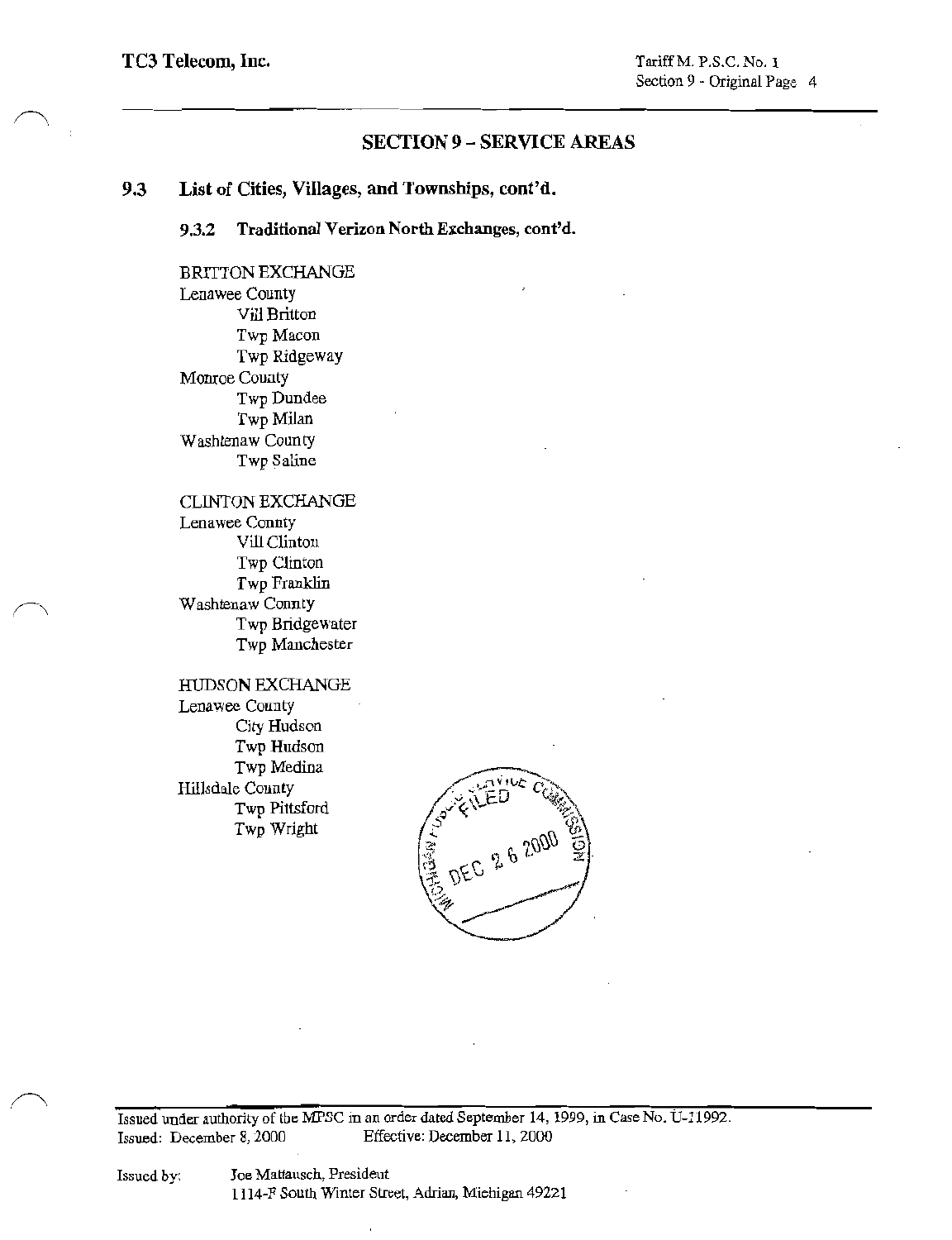### 9.3 List of Cities, Villages, and Townships, cont'd.

#### Traditional Verizon North Exchanges, cont'd.  $9.3.2$

**BRITTON EXCHANGE** Lenawee County Vill Britton Twp Macon Twp Ridgeway Monroe County Twp Dundee Twp Milan Washtenaw County Twp Saline

**CLINTON EXCHANGE** Lenawee Connty Vill Clinton Twp Clinton Twp Franklin Washtenaw Connty Twp Bridgewater Twp Manchester

HUDSON EXCHANGE Lenawee County City Hudson Twp Hudson Twp Medina Hillsdale County Twp Pittsford Twp Wright



Issued under authority of the MPSC in an order dated September 14, 1999, in Case No. U-11992. Effective: December 11, 2000 Issued: December 8, 2000

Joe Mattausch, Presideut 1114-F South Winter Street, Adrian, Michigan 49221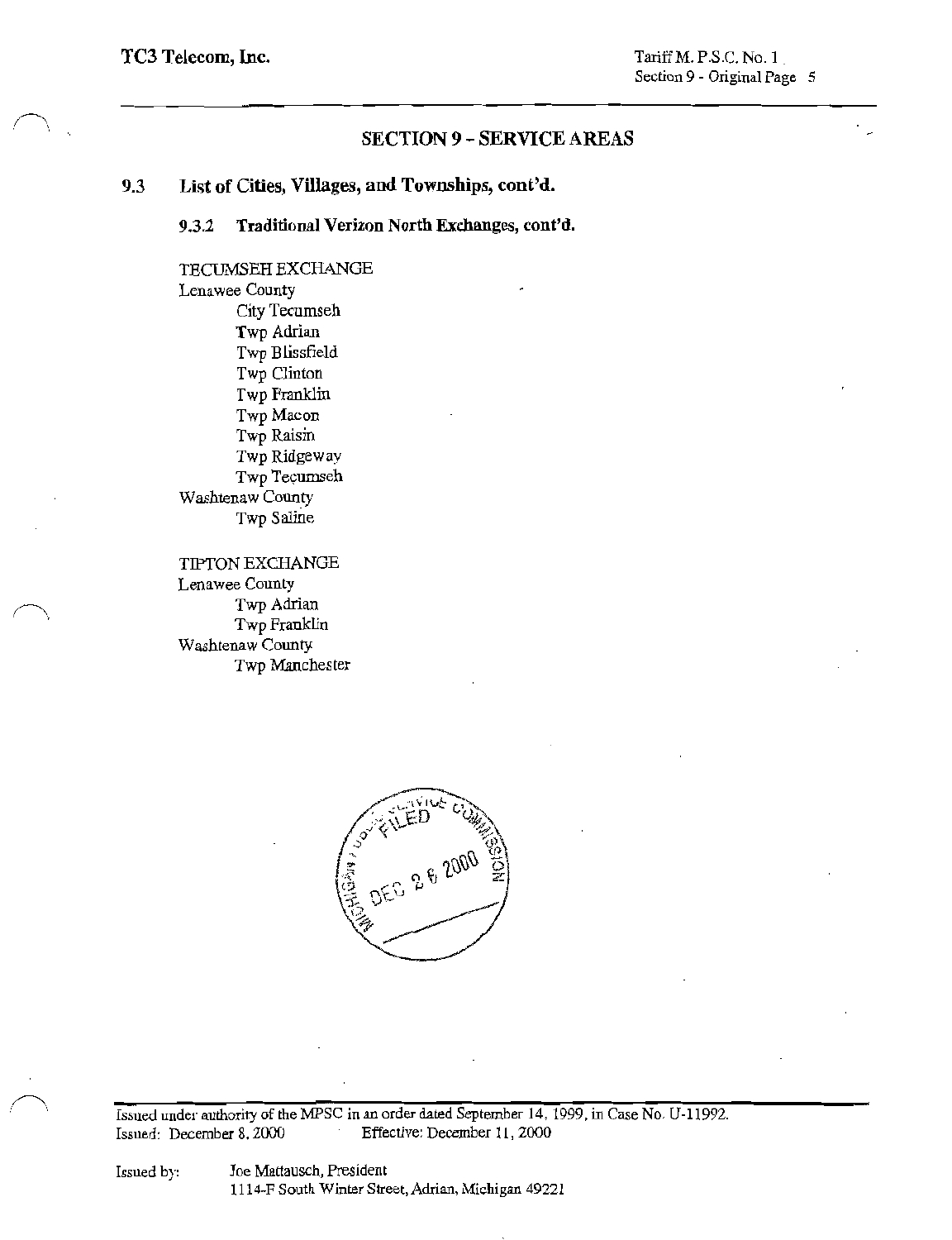### List of Cities, Villages, and Townships, cont'd. 9.3

#### Traditional Verizon North Exchanges, cont'd. 9.3.2

TECUMSEH EXCHANGE Lenawee County City Tecumseh Twp Adrian Twp Blissfield Twp Clinton Twp Franklin Twp Macon Twp Raisin Twp Ridgeway Twp Tecumseh Washtenaw County Twp Saline

**TIPTON EXCHANGE** Lenawee County Twp Adrian Twp Franklin Washtenaw County Twp Manchester



Issued under authority of the MPSC in an order dated September 14, 1999, in Case No. U-11992. Effective: December 11, 2000 Issued: December 8, 2000

Joe Mattausch, President 1114-F South Winter Street, Adrian, Michigan 49221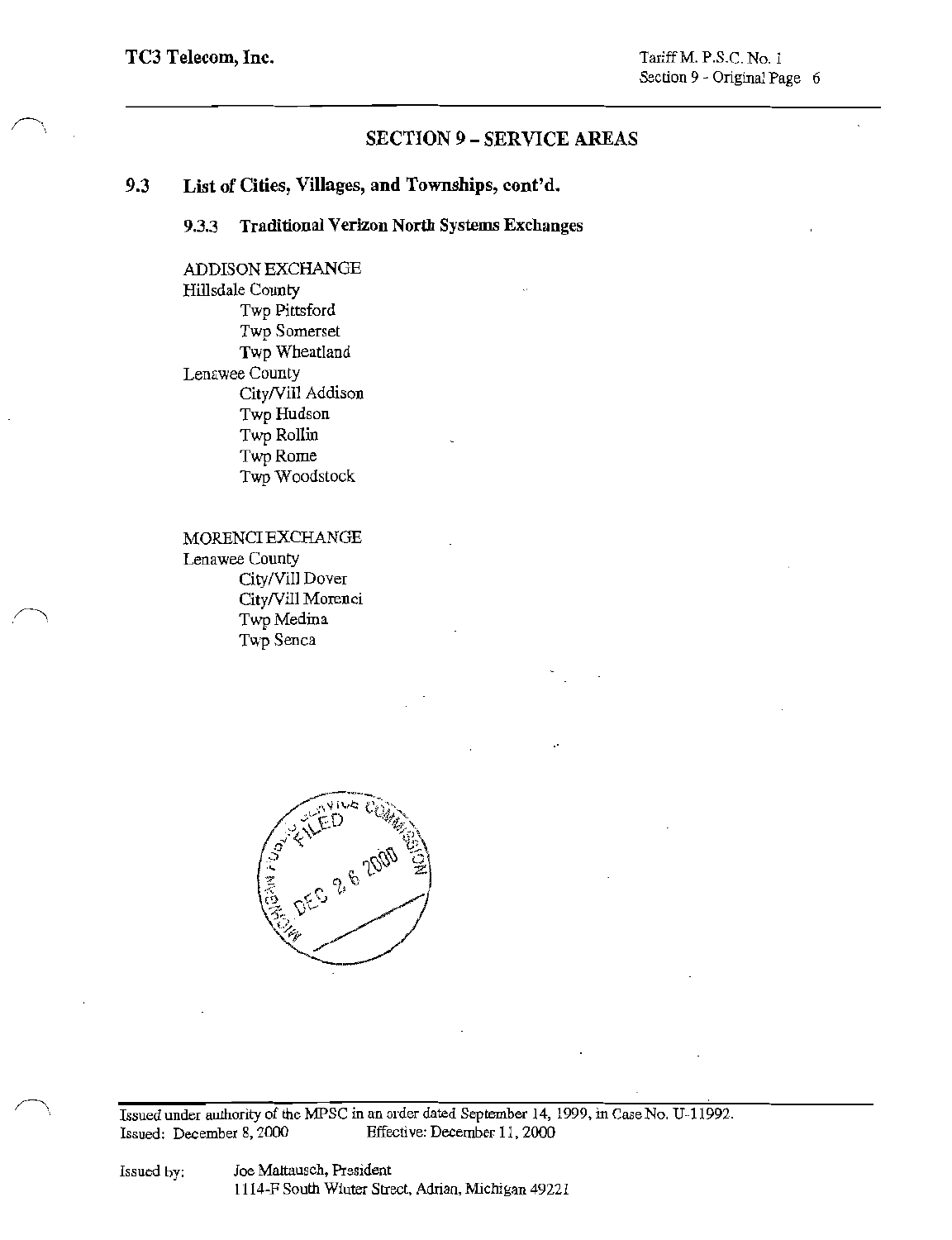#### 9.3 List of Cities, Villages, and Townships, cont'd.

### **Traditional Verizon North Systems Exchanges** 9.3.3

ADDISON EXCHANGE Hillsdale County Twp Pittsford Twp Somerset Twp Wheatland Lenawee County City/Vill Addison Twp Hudson Twp Rollin Twp Rome Twp Woodstock

MORENCI EXCHANGE Lenawee County City/Vill Dover City/Vill Morenci Twp Medina Twp Senca



Issued under authority of the MPSC in an order dated September 14, 1999, in Case No. U-11992. Effective: December 11, 2000 Issued: December 8, 2000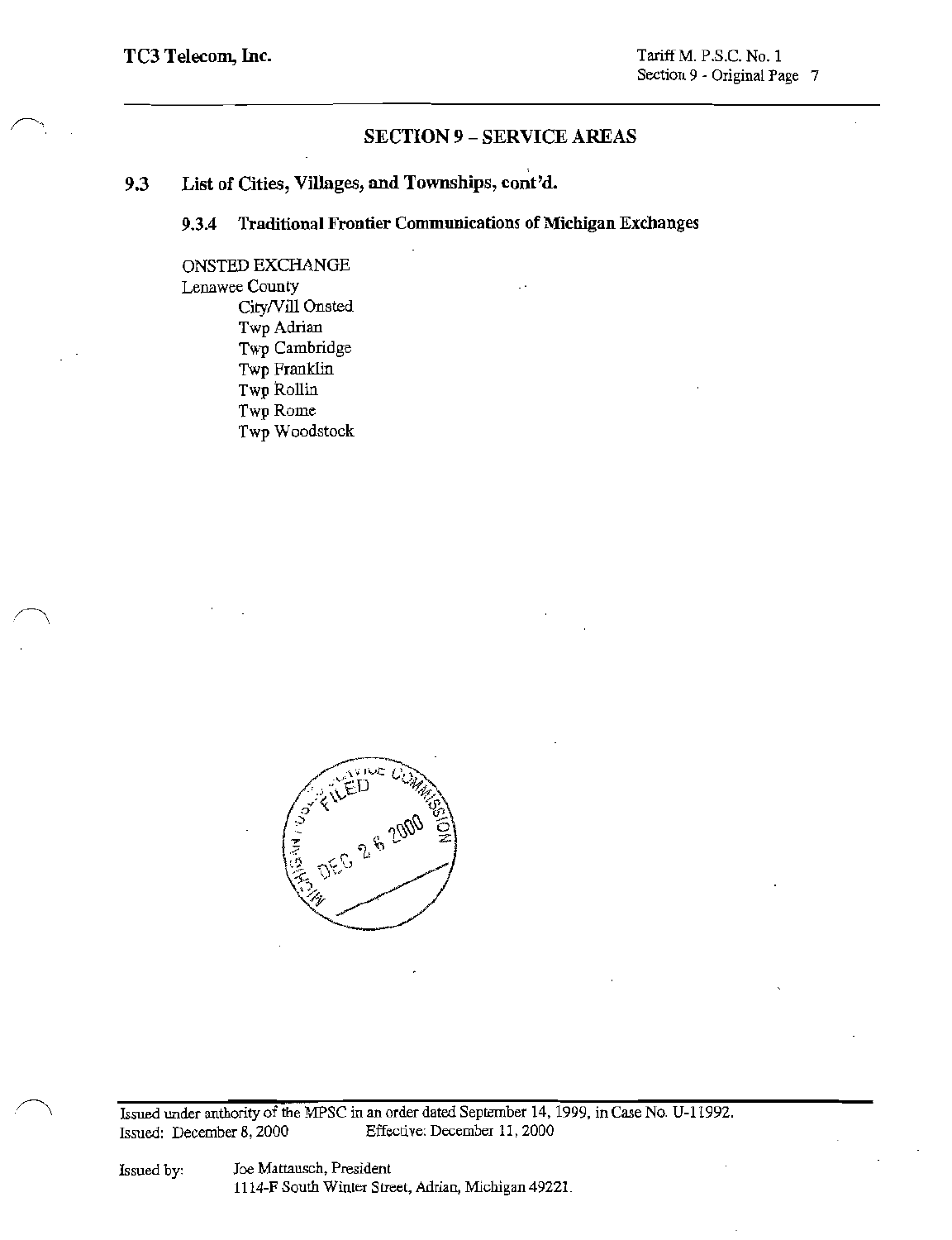### List of Cities, Villages, and Townships, cont'd. 9.3

**Traditional Frontier Communications of Michigan Exchanges** 9.3.4

ONSTED EXCHANGE Lenawee County City/Vill Onsted Twp Adrian Twp Cambridge Twp Franklin Twp Rollin Twp Rome Twp Woodstock



Issued under authority of the MPSC in an order dated September 14, 1999, in Case No. U-11992. Effective: December 11, 2000 Issued: December 8, 2000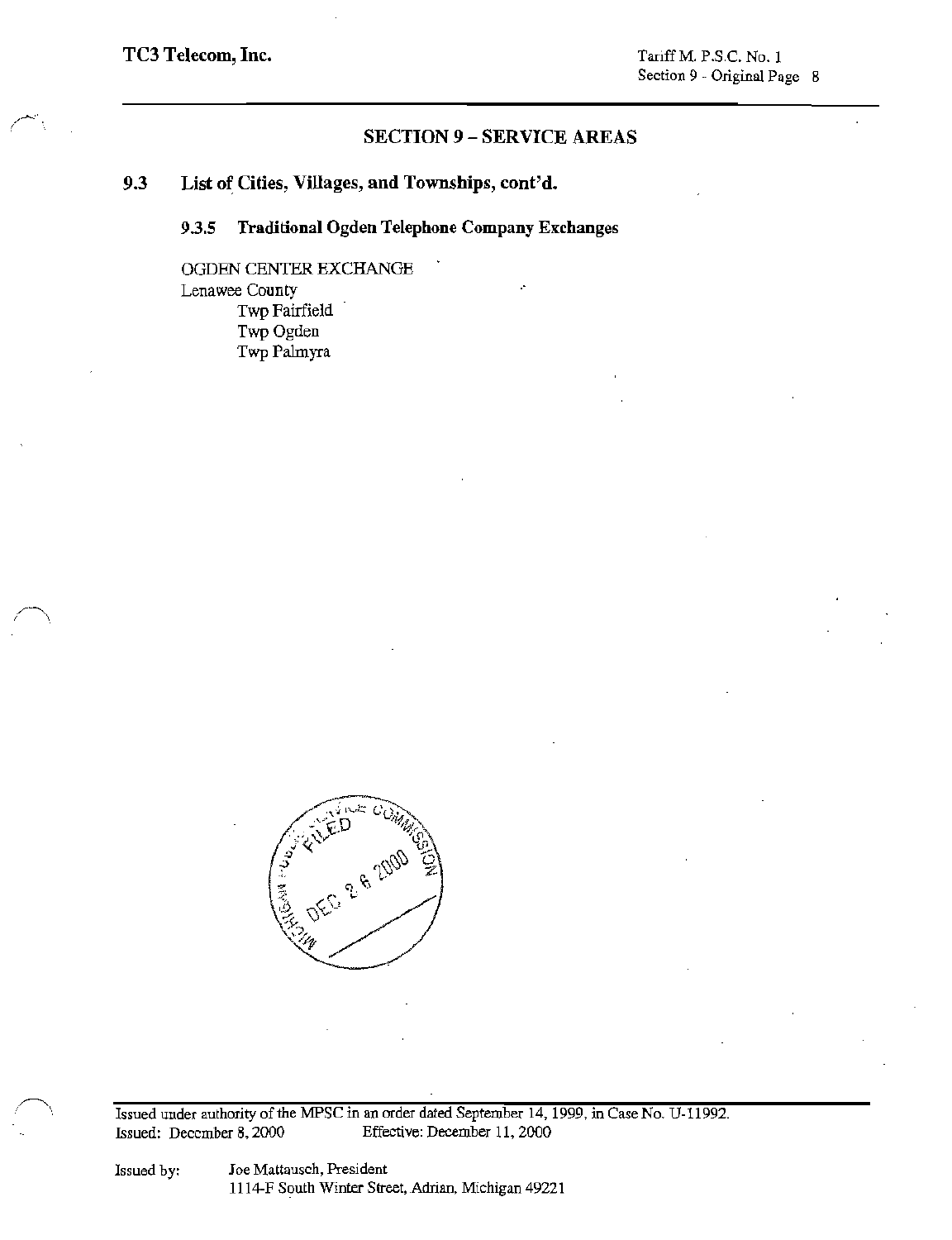### 9.3 List of Cities, Villages, and Townships, cont'd.

### Traditional Ogden Telephone Company Exchanges 9.3.5

OGDEN CENTER EXCHANGE Lenawee County Twp Fairfield Twp Ogden Twp Palmyra



Issued under authority of the MPSC in an order dated September 14, 1999, in Case No. U-11992. Effective: December 11, 2000 Issued: December 8, 2000

Joe Mattausch, President 1114-F South Winter Street, Adrian, Michigan 49221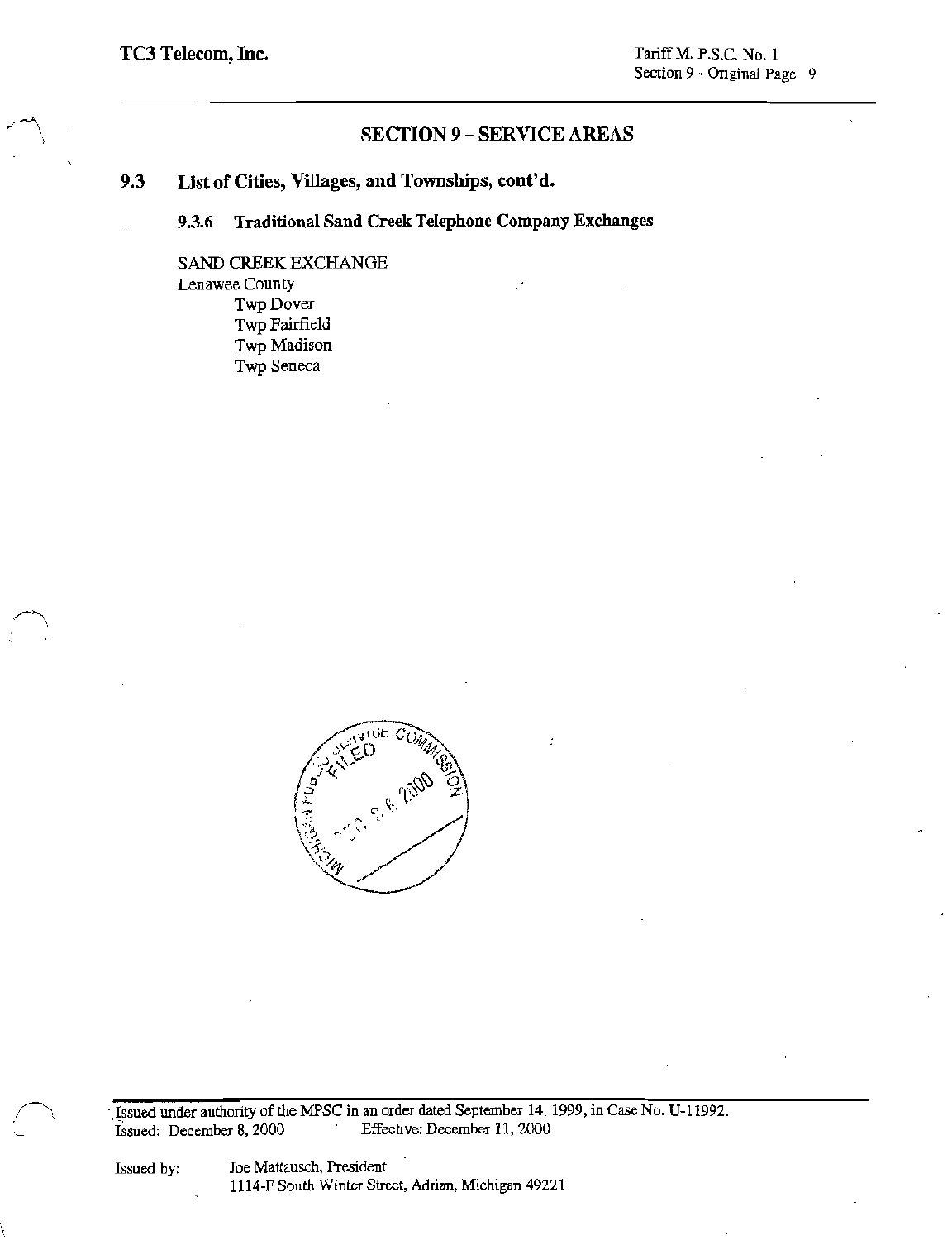List of Cities, Villages, and Townships, cont'd. 9.3

> **Traditional Sand Creek Telephone Company Exchanges** 9.3.6

SAND CREEK EXCHANGE Lenawee County Twp Dover Twp Fairfield Twp Madison Twp Seneca



Issued under authority of the MPSC in an order dated September 14, 1999, in Case No. U-11992. Issued: December 8, 2000 Effective: December 11, 2000

Issued by:

Joe Mattausch, President 1114-F South Winter Street, Adrian, Michigan 49221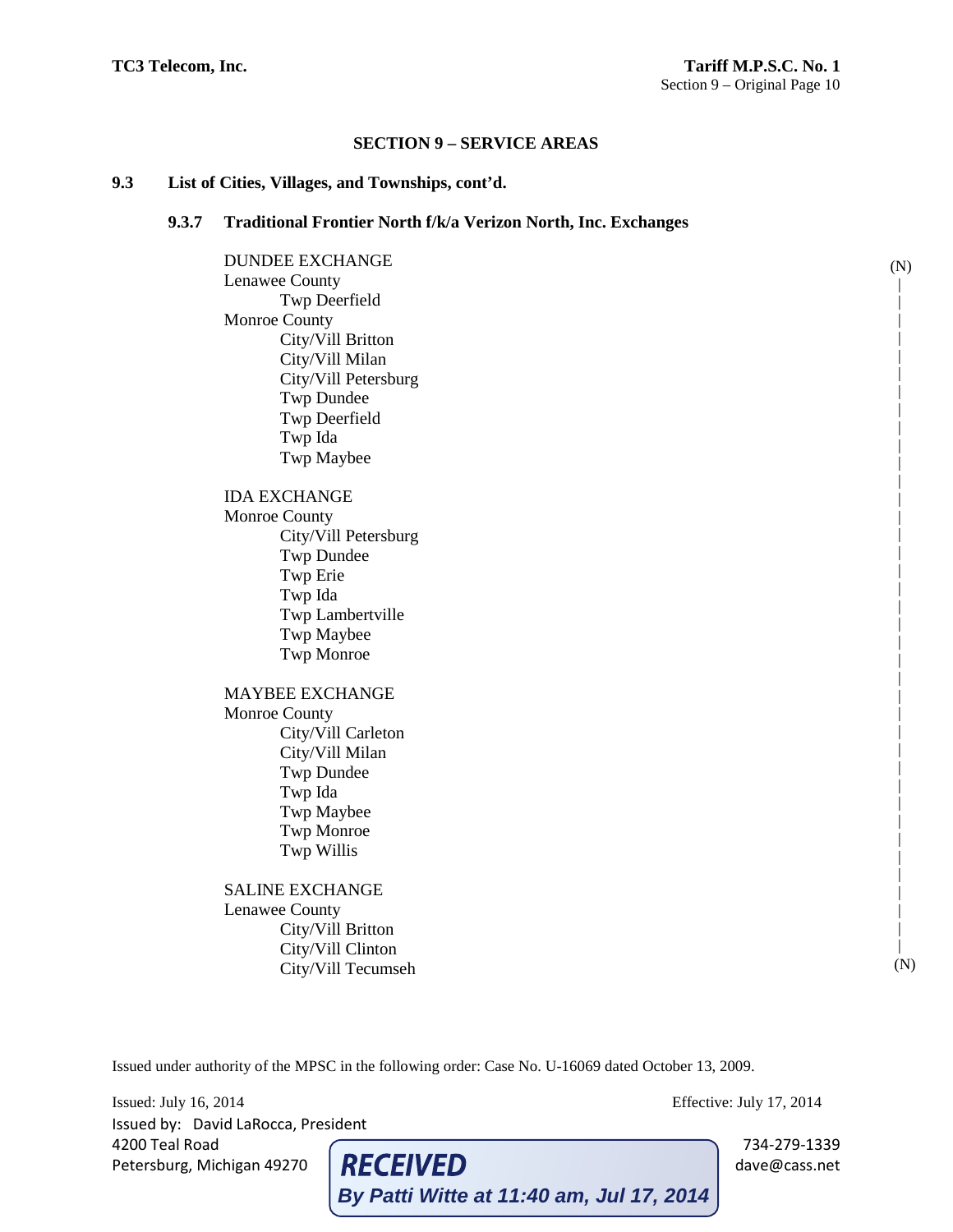## **9.3 List of Cities, Villages, and Townships, cont'd.**

## **9.3.7 Traditional Frontier North f/k/a Verizon North, Inc. Exchanges**

DUNDEE EXCHANGE Lenawee County Twp Deerfield Monroe County City/Vill Britton City/Vill Milan City/Vill Petersburg Twp Dundee Twp Deerfield Twp Ida Twp Maybee IDA EXCHANGE Monroe County City/Vill Petersburg Twp Dundee Twp Erie Twp Ida Twp Lambertville Twp Maybee Twp Monroe MAYBEE EXCHANGE Monroe County City/Vill Carleton City/Vill Milan Twp Dundee Twp Ida Twp Maybee Twp Monroe Twp Willis SALINE EXCHANGE Lenawee County City/Vill Britton City/Vill Clinton City/Vill Tecumseh (N) | | | | | | | | | | | | | | | | | | | | | | | | | | | | | | | | | | | | | | (N)

Issued under authority of the MPSC in the following order: Case No. U-16069 dated October 13, 2009.

Issued: July 16, 2014 Effective: July 17, 2014 Issued by: David LaRocca, President 4200 Teal Road 734-279-1339<br>
Petersburg, Michigan 49270 **RECEIVED** 734-279-1339 dave@cass.net Petersburg, Michigan 49270 **RECEIVED** dave@cass.net **By Patti Witte at 11:40 am, Jul 17, 2014**